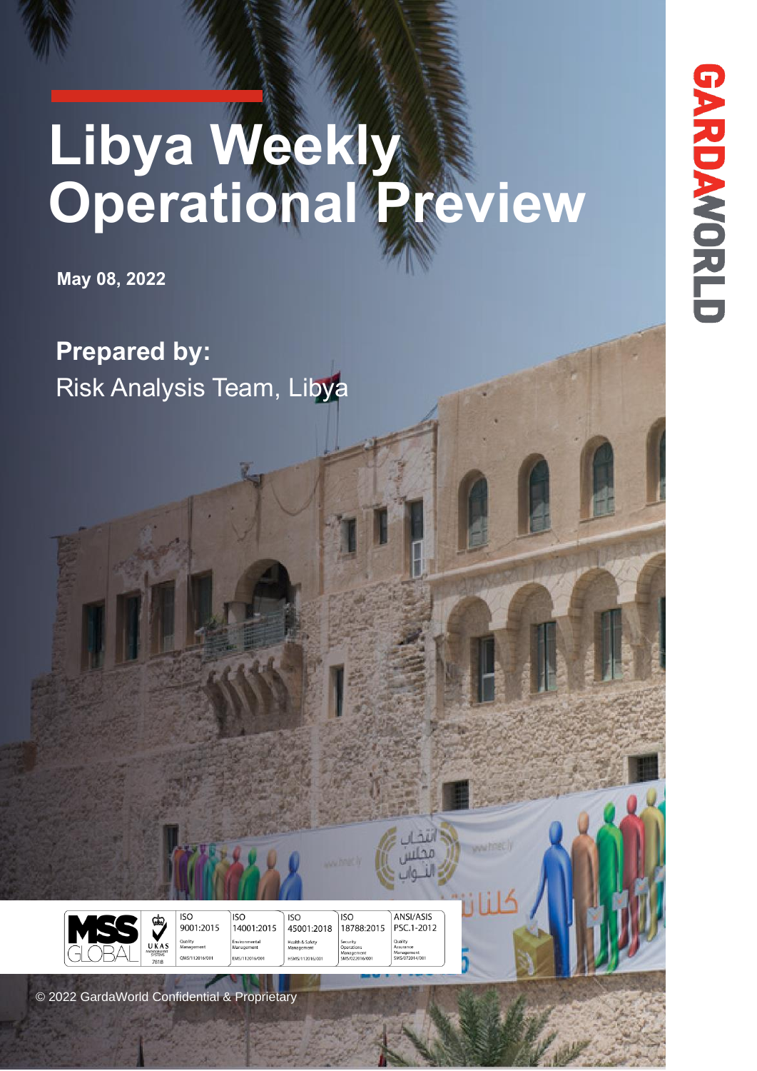# **Libya Weekly Operational Preview**

**May 08, 2022**

**Prepared by:** Risk Analysis Team, Libya

 $\circ$ © 2022 GardaWorld Confidential & Proprietary

10 Oct 10 Oct 10 Oct 10 Oct 10 Oct 10 Oct 10 Oct 10 Oct 10 Oct 10 Oct 10 Oct 10 Oct 10 Oct 10 Oct 10 Oct 10 Oct 10 Oct 10 Oct 10 Oct 10 Oct 10 Oct 10 Oct 10 Oct 10 Oct 10 Oct 10 Oct 10 Oct 10 Oct 10 Oct 10 Oct 10 Oct 10 Oc

 $\overline{ISO}$ 

9001:2015

ISO

14001:2015

 $\overline{ISO}$ 

45001:2018 **Health & Safet**<br>Management

**CMC/112016** 

 $\overline{ISO}$ 

Security<br>Operatio<br>Manager<br>SMS/022

18788:2015

ANSI/ASIS

PSC.1-2012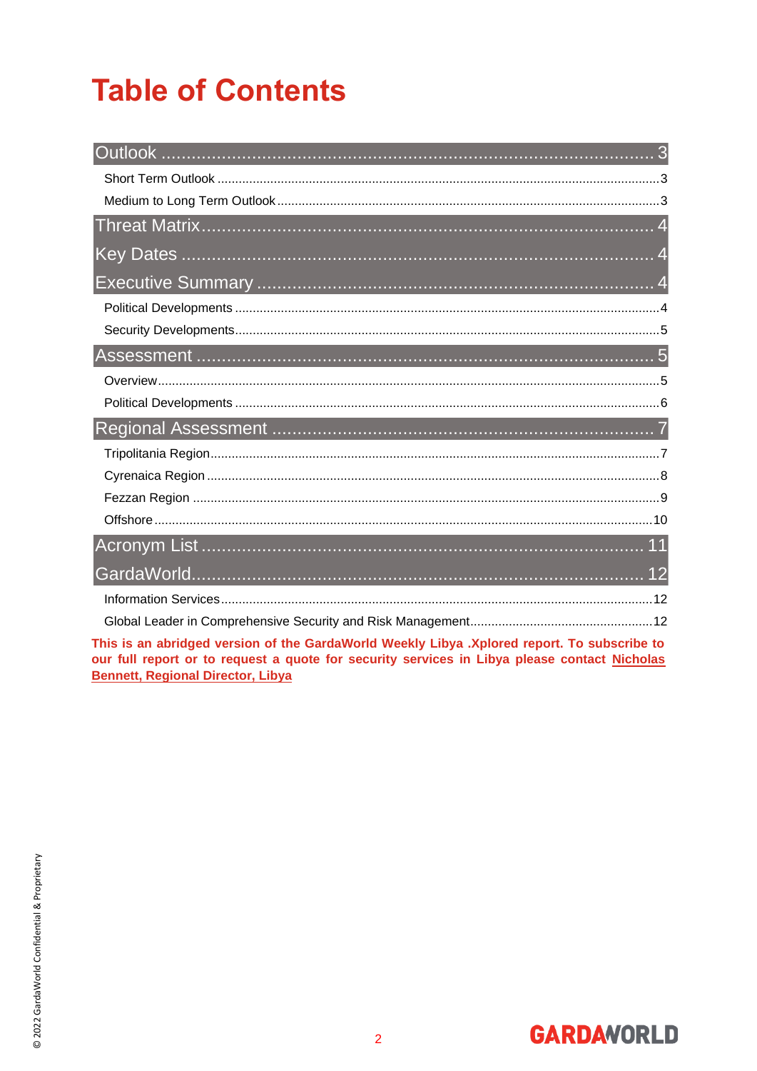## **Table of Contents**

| a ta an abatilme d'unaban af the OandeMould Moedillo Libra. Valencia aonait Ta anbeadha ta |  |
|--------------------------------------------------------------------------------------------|--|

This is an abridged version of the GardaWorld Weekly Libya .Xplored report. To subscribe to our full report or to request a quote for security services in Libya please contact Nicholas **Bennett, Regional Director, Libya** 

**GARDAVORLD**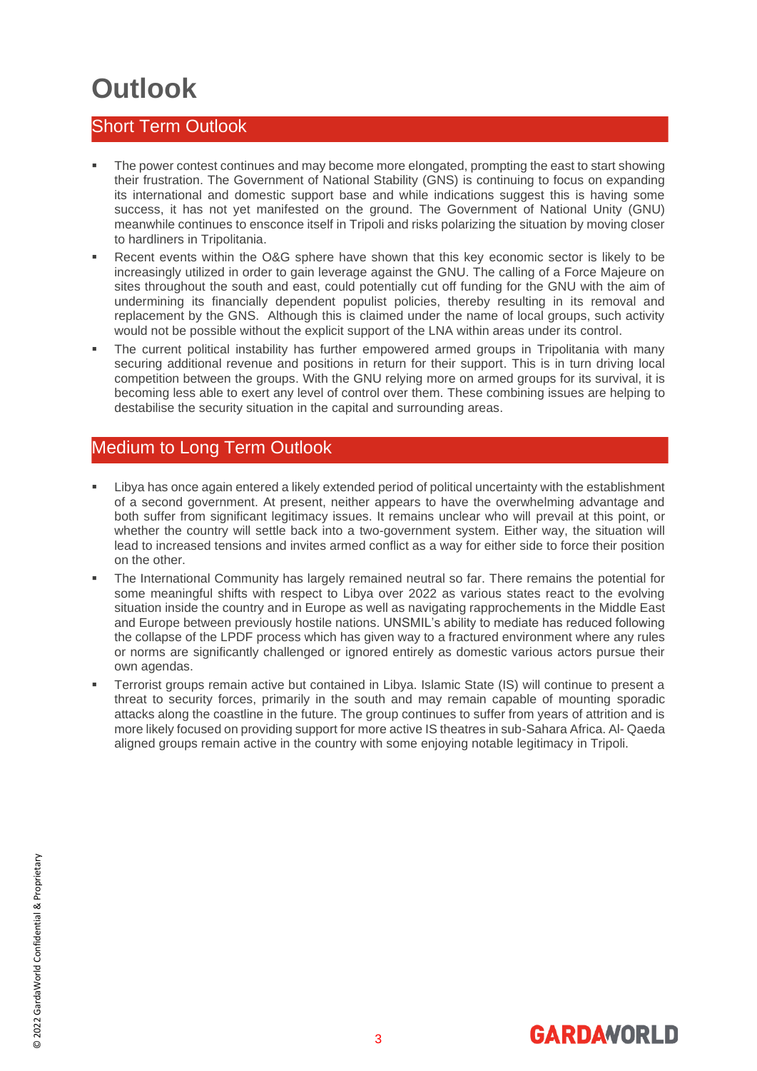### <span id="page-2-0"></span>**Outlook**

#### <span id="page-2-1"></span>Short Term Outlook

- The power contest continues and may become more elongated, prompting the east to start showing their frustration. The Government of National Stability (GNS) is continuing to focus on expanding its international and domestic support base and while indications suggest this is having some success, it has not yet manifested on the ground. The Government of National Unity (GNU) meanwhile continues to ensconce itself in Tripoli and risks polarizing the situation by moving closer to hardliners in Tripolitania.
- Recent events within the O&G sphere have shown that this key economic sector is likely to be increasingly utilized in order to gain leverage against the GNU. The calling of a Force Majeure on sites throughout the south and east, could potentially cut off funding for the GNU with the aim of undermining its financially dependent populist policies, thereby resulting in its removal and replacement by the GNS. Although this is claimed under the name of local groups, such activity would not be possible without the explicit support of the LNA within areas under its control.
- The current political instability has further empowered armed groups in Tripolitania with many securing additional revenue and positions in return for their support. This is in turn driving local competition between the groups. With the GNU relying more on armed groups for its survival, it is becoming less able to exert any level of control over them. These combining issues are helping to destabilise the security situation in the capital and surrounding areas.

#### <span id="page-2-2"></span>Medium to Long Term Outlook

- Libya has once again entered a likely extended period of political uncertainty with the establishment of a second government. At present, neither appears to have the overwhelming advantage and both suffer from significant legitimacy issues. It remains unclear who will prevail at this point, or whether the country will settle back into a two-government system. Either way, the situation will lead to increased tensions and invites armed conflict as a way for either side to force their position on the other.
- The International Community has largely remained neutral so far. There remains the potential for some meaningful shifts with respect to Libya over 2022 as various states react to the evolving situation inside the country and in Europe as well as navigating rapprochements in the Middle East and Europe between previously hostile nations. UNSMIL's ability to mediate has reduced following the collapse of the LPDF process which has given way to a fractured environment where any rules or norms are significantly challenged or ignored entirely as domestic various actors pursue their own agendas.
- Terrorist groups remain active but contained in Libya. Islamic State (IS) will continue to present a threat to security forces, primarily in the south and may remain capable of mounting sporadic attacks along the coastline in the future. The group continues to suffer from years of attrition and is more likely focused on providing support for more active IS theatres in sub-Sahara Africa. Al- Qaeda aligned groups remain active in the country with some enjoying notable legitimacy in Tripoli.

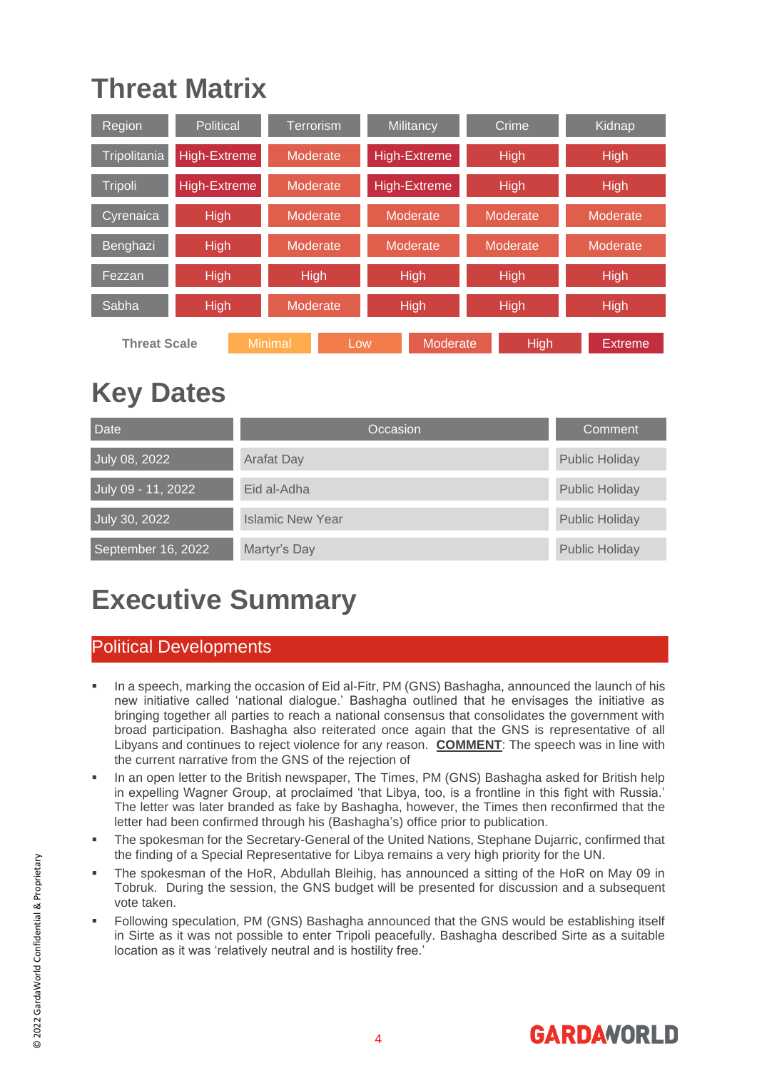### <span id="page-3-0"></span>**Threat Matrix**

| Region              | Political           |          | <b>Terrorism</b> | Crime<br>Militancy   |             | Kidnap      |             |             |          |  |
|---------------------|---------------------|----------|------------------|----------------------|-------------|-------------|-------------|-------------|----------|--|
| Tripolitania        | High-Extreme        | Moderate |                  | <b>High-Extreme</b>  |             | <b>High</b> |             | <b>High</b> |          |  |
| Tripoli             | <b>High-Extreme</b> | Moderate |                  | <b>High-Extreme</b>  |             | High        |             | High        |          |  |
| Cyrenaica           | High                | Moderate |                  | Moderate<br>Moderate |             | Moderate    |             |             |          |  |
| Benghazi            | High                |          | Moderate         |                      | Moderate    |             | Moderate    |             | Moderate |  |
| Fezzan              | High                |          | <b>High</b>      |                      | <b>High</b> |             | <b>High</b> |             | High     |  |
| Sabha               | <b>High</b>         | Moderate |                  |                      | <b>High</b> | <b>High</b> |             | <b>High</b> |          |  |
| <b>Threat Scale</b> |                     | Minimal  | Low              |                      | Moderate    |             | High        |             | Extreme  |  |

### <span id="page-3-1"></span>**Key Dates**

| <b>Date</b>        | Occasion                | Comment               |
|--------------------|-------------------------|-----------------------|
| July 08, 2022      | <b>Arafat Day</b>       | <b>Public Holiday</b> |
| July 09 - 11, 2022 | Eid al-Adha             | <b>Public Holiday</b> |
| July 30, 2022      | <b>Islamic New Year</b> | <b>Public Holiday</b> |
| September 16, 2022 | Martyr's Day            | <b>Public Holiday</b> |

### <span id="page-3-2"></span>**Executive Summary**

### <span id="page-3-3"></span>Political Developments

- In a speech, marking the occasion of Eid al-Fitr, PM (GNS) Bashagha, announced the launch of his new initiative called 'national dialogue.' Bashagha outlined that he envisages the initiative as bringing together all parties to reach a national consensus that consolidates the government with broad participation. Bashagha also reiterated once again that the GNS is representative of all Libyans and continues to reject violence for any reason. **COMMENT**: The speech was in line with the current narrative from the GNS of the rejection of
- In an open letter to the British newspaper, The Times, PM (GNS) Bashagha asked for British help in expelling Wagner Group, at proclaimed 'that Libya, too, is a frontline in this fight with Russia.' The letter was later branded as fake by Bashagha, however, the Times then reconfirmed that the letter had been confirmed through his (Bashagha's) office prior to publication.
- The spokesman for the Secretary-General of the United Nations, Stephane Dujarric, confirmed that the finding of a Special Representative for Libya remains a very high priority for the UN.
- The spokesman of the HoR, Abdullah Bleihig, has announced a sitting of the HoR on May 09 in Tobruk. During the session, the GNS budget will be presented for discussion and a subsequent vote taken.
- Following speculation, PM (GNS) Bashagha announced that the GNS would be establishing itself in Sirte as it was not possible to enter Tripoli peacefully. Bashagha described Sirte as a suitable location as it was 'relatively neutral and is hostility free.'

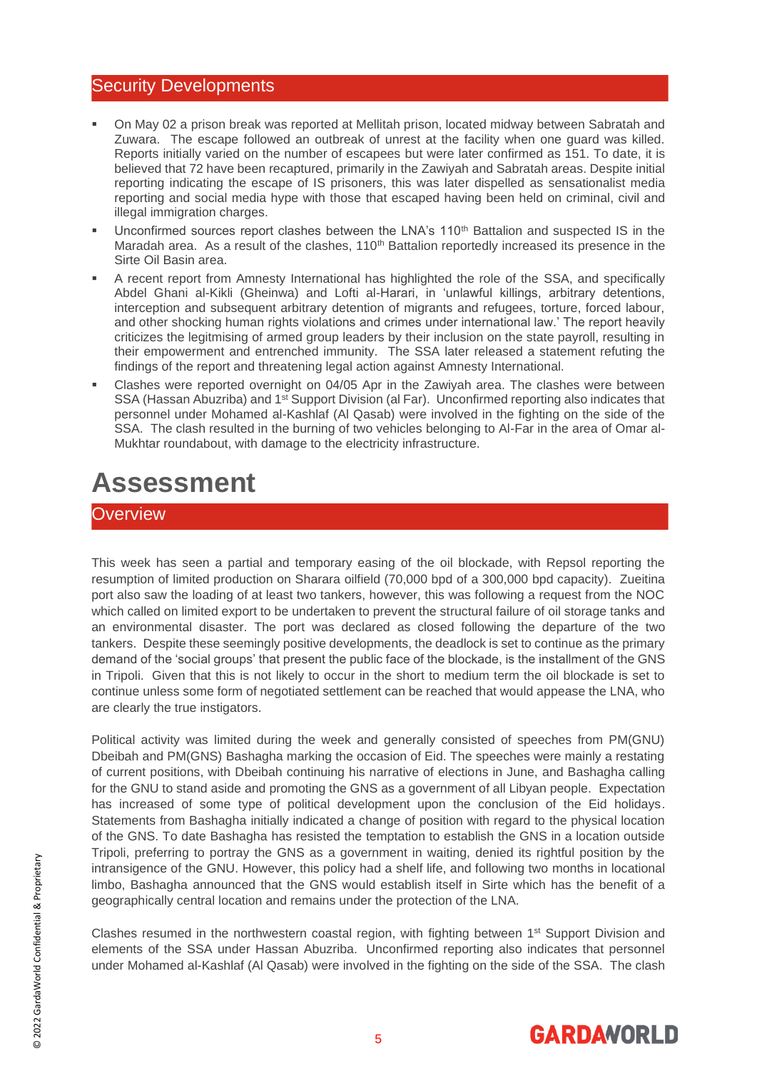#### <span id="page-4-0"></span>Security Developments

- On May 02 a prison break was reported at Mellitah prison, located midway between Sabratah and Zuwara. The escape followed an outbreak of unrest at the facility when one guard was killed. Reports initially varied on the number of escapees but were later confirmed as 151. To date, it is believed that 72 have been recaptured, primarily in the Zawiyah and Sabratah areas. Despite initial reporting indicating the escape of IS prisoners, this was later dispelled as sensationalist media reporting and social media hype with those that escaped having been held on criminal, civil and illegal immigration charges.
- **■** Unconfirmed sources report clashes between the LNA's 110<sup>th</sup> Battalion and suspected IS in the Maradah area. As a result of the clashes, 110<sup>th</sup> Battalion reportedly increased its presence in the Sirte Oil Basin area.
- A recent report from Amnesty International has highlighted the role of the SSA, and specifically Abdel Ghani al-Kikli (Gheinwa) and Lofti al-Harari, in 'unlawful killings, arbitrary detentions, interception and subsequent arbitrary detention of migrants and refugees, torture, forced labour, and other shocking human rights violations and crimes under international law.' The report heavily criticizes the legitmising of armed group leaders by their inclusion on the state payroll, resulting in their empowerment and entrenched immunity. The SSA later released a statement refuting the findings of the report and threatening legal action against Amnesty International.
- Clashes were reported overnight on 04/05 Apr in the Zawiyah area. The clashes were between SSA (Hassan Abuzriba) and 1<sup>st</sup> Support Division (al Far). Unconfirmed reporting also indicates that personnel under Mohamed al-Kashlaf (Al Qasab) were involved in the fighting on the side of the SSA. The clash resulted in the burning of two vehicles belonging to Al-Far in the area of Omar al-Mukhtar roundabout, with damage to the electricity infrastructure.

### <span id="page-4-1"></span>**Assessment**

#### <span id="page-4-2"></span>**Overview**

This week has seen a partial and temporary easing of the oil blockade, with Repsol reporting the resumption of limited production on Sharara oilfield (70,000 bpd of a 300,000 bpd capacity). Zueitina port also saw the loading of at least two tankers, however, this was following a request from the NOC which called on limited export to be undertaken to prevent the structural failure of oil storage tanks and an environmental disaster. The port was declared as closed following the departure of the two tankers. Despite these seemingly positive developments, the deadlock is set to continue as the primary demand of the 'social groups' that present the public face of the blockade, is the installment of the GNS in Tripoli. Given that this is not likely to occur in the short to medium term the oil blockade is set to continue unless some form of negotiated settlement can be reached that would appease the LNA, who are clearly the true instigators.

Political activity was limited during the week and generally consisted of speeches from PM(GNU) Dbeibah and PM(GNS) Bashagha marking the occasion of Eid. The speeches were mainly a restating of current positions, with Dbeibah continuing his narrative of elections in June, and Bashagha calling for the GNU to stand aside and promoting the GNS as a government of all Libyan people. Expectation has increased of some type of political development upon the conclusion of the Eid holidays. Statements from Bashagha initially indicated a change of position with regard to the physical location of the GNS. To date Bashagha has resisted the temptation to establish the GNS in a location outside Tripoli, preferring to portray the GNS as a government in waiting, denied its rightful position by the intransigence of the GNU. However, this policy had a shelf life, and following two months in locational limbo, Bashagha announced that the GNS would establish itself in Sirte which has the benefit of a geographically central location and remains under the protection of the LNA.

Clashes resumed in the northwestern coastal region, with fighting between 1<sup>st</sup> Support Division and elements of the SSA under Hassan Abuzriba. Unconfirmed reporting also indicates that personnel under Mohamed al-Kashlaf (Al Qasab) were involved in the fighting on the side of the SSA. The clash

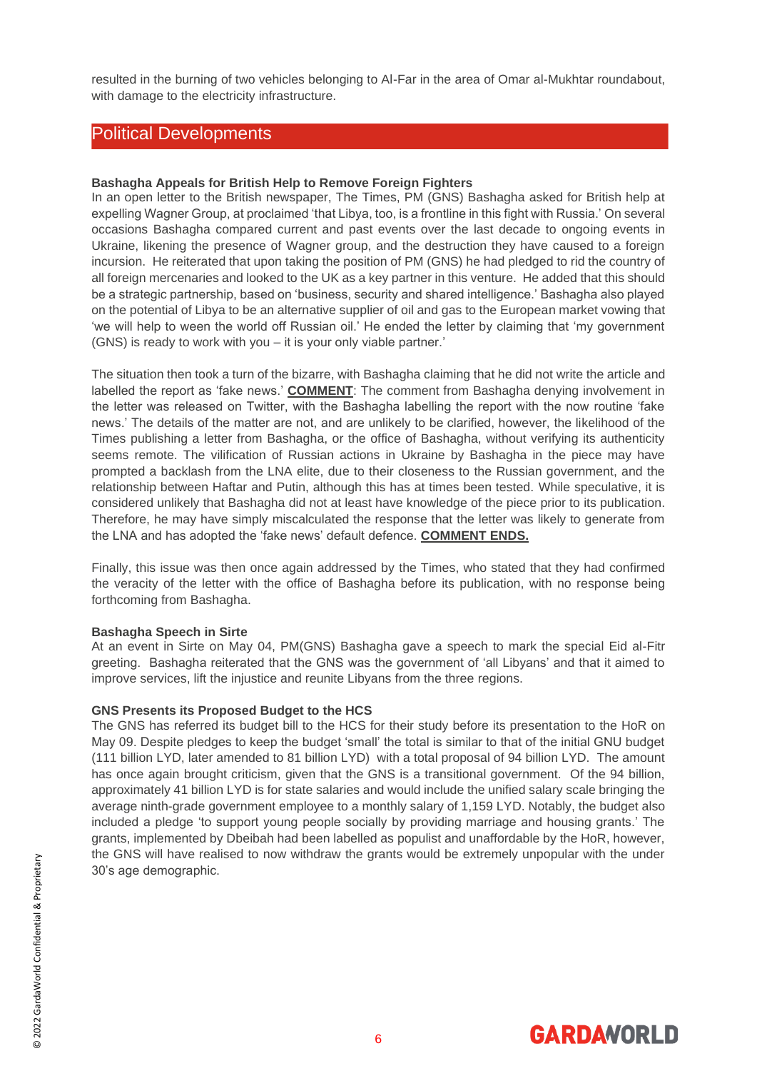resulted in the burning of two vehicles belonging to Al-Far in the area of Omar al-Mukhtar roundabout, with damage to the electricity infrastructure.

#### <span id="page-5-0"></span>Political Developments

#### **Bashagha Appeals for British Help to Remove Foreign Fighters**

In an open letter to the British newspaper, The Times, PM (GNS) Bashagha asked for British help at expelling Wagner Group, at proclaimed 'that Libya, too, is a frontline in this fight with Russia.' On several occasions Bashagha compared current and past events over the last decade to ongoing events in Ukraine, likening the presence of Wagner group, and the destruction they have caused to a foreign incursion. He reiterated that upon taking the position of PM (GNS) he had pledged to rid the country of all foreign mercenaries and looked to the UK as a key partner in this venture. He added that this should be a strategic partnership, based on 'business, security and shared intelligence.' Bashagha also played on the potential of Libya to be an alternative supplier of oil and gas to the European market vowing that 'we will help to ween the world off Russian oil.' He ended the letter by claiming that 'my government (GNS) is ready to work with you – it is your only viable partner.'

The situation then took a turn of the bizarre, with Bashagha claiming that he did not write the article and labelled the report as 'fake news.' **COMMENT**: The comment from Bashagha denying involvement in the letter was released on Twitter, with the Bashagha labelling the report with the now routine 'fake news.' The details of the matter are not, and are unlikely to be clarified, however, the likelihood of the Times publishing a letter from Bashagha, or the office of Bashagha, without verifying its authenticity seems remote. The vilification of Russian actions in Ukraine by Bashagha in the piece may have prompted a backlash from the LNA elite, due to their closeness to the Russian government, and the relationship between Haftar and Putin, although this has at times been tested. While speculative, it is considered unlikely that Bashagha did not at least have knowledge of the piece prior to its publication. Therefore, he may have simply miscalculated the response that the letter was likely to generate from the LNA and has adopted the 'fake news' default defence. **COMMENT ENDS.**

Finally, this issue was then once again addressed by the Times, who stated that they had confirmed the veracity of the letter with the office of Bashagha before its publication, with no response being forthcoming from Bashagha.

#### **Bashagha Speech in Sirte**

At an event in Sirte on May 04, PM(GNS) Bashagha gave a speech to mark the special Eid al-Fitr greeting. Bashagha reiterated that the GNS was the government of 'all Libyans' and that it aimed to improve services, lift the injustice and reunite Libyans from the three regions.

#### **GNS Presents its Proposed Budget to the HCS**

The GNS has referred its budget bill to the HCS for their study before its presentation to the HoR on May 09. Despite pledges to keep the budget 'small' the total is similar to that of the initial GNU budget (111 billion LYD, later amended to 81 billion LYD) with a total proposal of 94 billion LYD. The amount has once again brought criticism, given that the GNS is a transitional government. Of the 94 billion, approximately 41 billion LYD is for state salaries and would include the unified salary scale bringing the average ninth-grade government employee to a monthly salary of 1,159 LYD. Notably, the budget also included a pledge 'to support young people socially by providing marriage and housing grants.' The grants, implemented by Dbeibah had been labelled as populist and unaffordable by the HoR, however, the GNS will have realised to now withdraw the grants would be extremely unpopular with the under 30's age demographic.

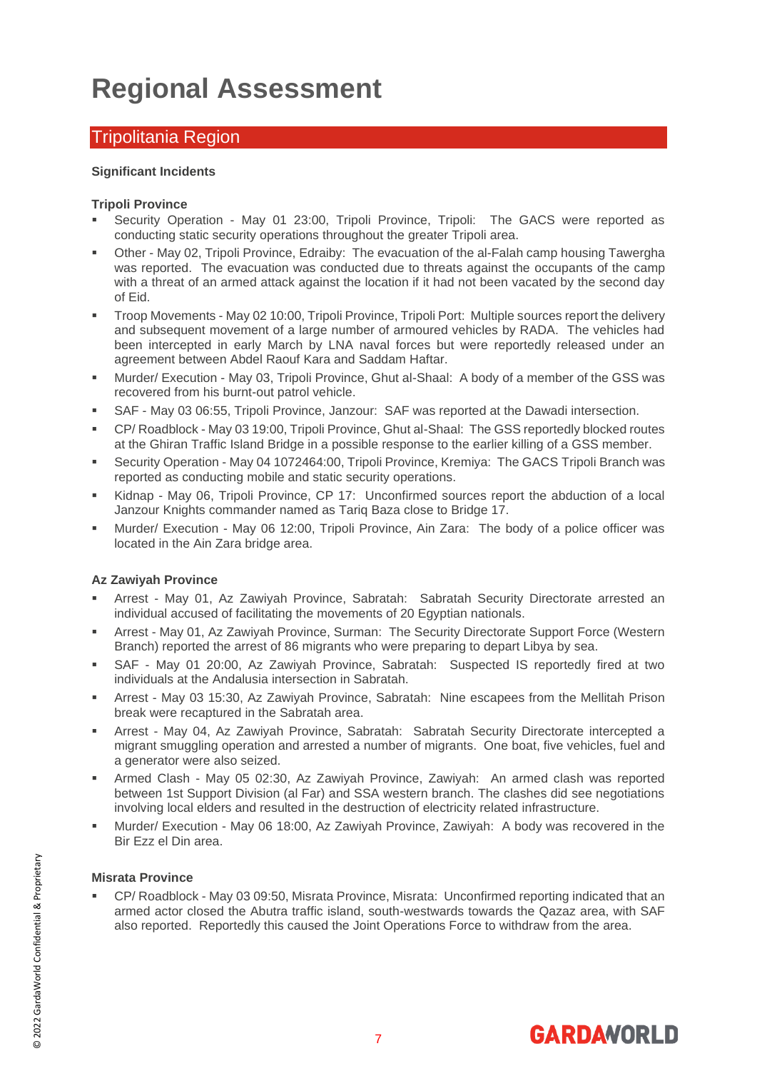### <span id="page-6-0"></span>**Regional Assessment**

#### <span id="page-6-1"></span>Tripolitania Region

#### **Significant Incidents**

#### **Tripoli Province**

- Security Operation May 01 23:00, Tripoli Province, Tripoli: The GACS were reported as conducting static security operations throughout the greater Tripoli area.
- Other May 02, Tripoli Province, Edraiby: The evacuation of the al-Falah camp housing Tawergha was reported. The evacuation was conducted due to threats against the occupants of the camp with a threat of an armed attack against the location if it had not been vacated by the second day of Eid.
- Troop Movements May 02 10:00, Tripoli Province, Tripoli Port: Multiple sources report the delivery and subsequent movement of a large number of armoured vehicles by RADA. The vehicles had been intercepted in early March by LNA naval forces but were reportedly released under an agreement between Abdel Raouf Kara and Saddam Haftar.
- Murder/ Execution May 03, Tripoli Province, Ghut al-Shaal: A body of a member of the GSS was recovered from his burnt-out patrol vehicle.
- SAF May 03 06:55, Tripoli Province, Janzour: SAF was reported at the Dawadi intersection.
- CP/ Roadblock May 03 19:00, Tripoli Province, Ghut al-Shaal: The GSS reportedly blocked routes at the Ghiran Traffic Island Bridge in a possible response to the earlier killing of a GSS member.
- Security Operation May 04 1072464:00, Tripoli Province, Kremiya: The GACS Tripoli Branch was reported as conducting mobile and static security operations.
- Kidnap May 06, Tripoli Province, CP 17: Unconfirmed sources report the abduction of a local Janzour Knights commander named as Tariq Baza close to Bridge 17.
- Murder/ Execution May 06 12:00, Tripoli Province, Ain Zara: The body of a police officer was located in the Ain Zara bridge area.

#### **Az Zawiyah Province**

- Arrest May 01, Az Zawiyah Province, Sabratah: Sabratah Security Directorate arrested an individual accused of facilitating the movements of 20 Egyptian nationals.
- **EXECT:** Arrest May 01, Az Zawiyah Province, Surman: The Security Directorate Support Force (Western Branch) reported the arrest of 86 migrants who were preparing to depart Libya by sea.
- SAF May 01 20:00, Az Zawiyah Province, Sabratah: Suspected IS reportedly fired at two individuals at the Andalusia intersection in Sabratah.
- Arrest May 03 15:30, Az Zawiyah Province, Sabratah: Nine escapees from the Mellitah Prison break were recaptured in the Sabratah area.
- **EXP** Arrest May 04, Az Zawiyah Province, Sabratah: Sabratah Security Directorate intercepted a migrant smuggling operation and arrested a number of migrants. One boat, five vehicles, fuel and a generator were also seized.
- Armed Clash May 05 02:30, Az Zawiyah Province, Zawiyah: An armed clash was reported between 1st Support Division (al Far) and SSA western branch. The clashes did see negotiations involving local elders and resulted in the destruction of electricity related infrastructure.
- Murder/ Execution May 06 18:00, Az Zawiyah Province, Zawiyah: A body was recovered in the Bir Ezz el Din area.

#### **Misrata Province**

CP/ Roadblock - May 03 09:50, Misrata Province, Misrata: Unconfirmed reporting indicated that an armed actor closed the Abutra traffic island, south-westwards towards the Qazaz area, with SAF also reported. Reportedly this caused the Joint Operations Force to withdraw from the area.

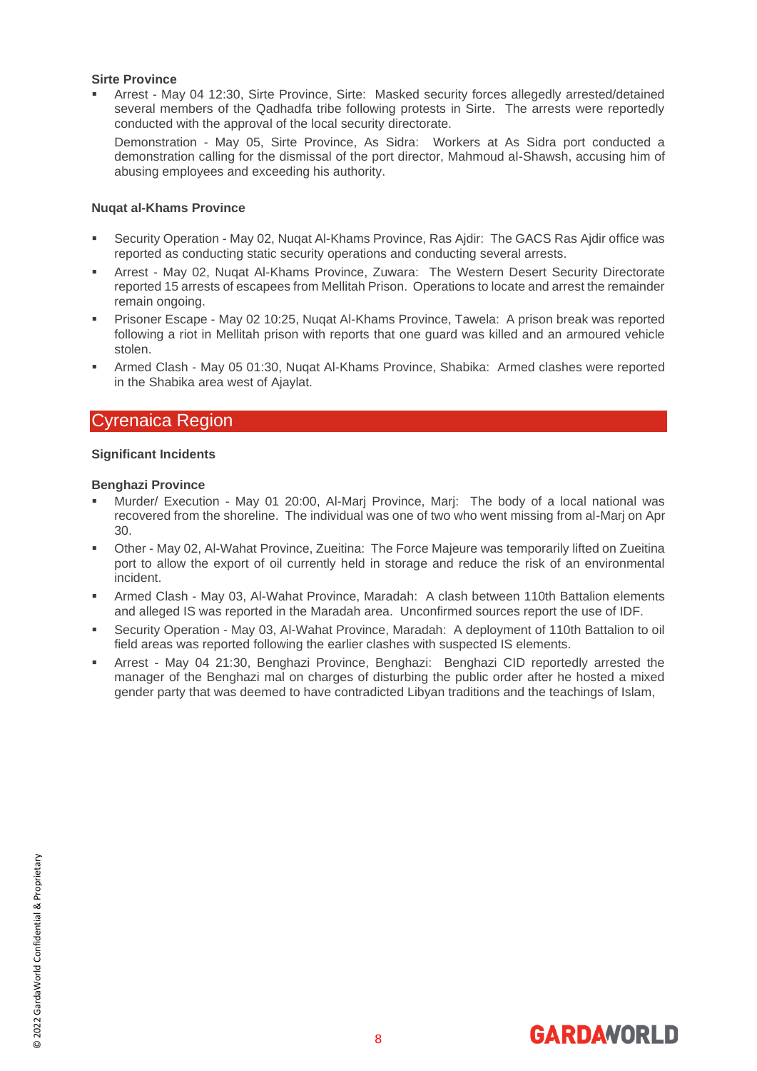#### **Sirte Province**

Arrest - May 04 12:30, Sirte Province, Sirte: Masked security forces allegedly arrested/detained several members of the Qadhadfa tribe following protests in Sirte. The arrests were reportedly conducted with the approval of the local security directorate.

Demonstration - May 05, Sirte Province, As Sidra: Workers at As Sidra port conducted a demonstration calling for the dismissal of the port director, Mahmoud al-Shawsh, accusing him of abusing employees and exceeding his authority.

#### **Nuqat al-Khams Province**

- Security Operation May 02, Nugat Al-Khams Province, Ras Ajdir: The GACS Ras Ajdir office was reported as conducting static security operations and conducting several arrests.
- Arrest May 02, Nuqat Al-Khams Province, Zuwara: The Western Desert Security Directorate reported 15 arrests of escapees from Mellitah Prison. Operations to locate and arrest the remainder remain ongoing.
- Prisoner Escape May 02 10:25, Nugat Al-Khams Province, Tawela: A prison break was reported following a riot in Mellitah prison with reports that one guard was killed and an armoured vehicle stolen.
- Armed Clash May 05 01:30, Nugat Al-Khams Province, Shabika: Armed clashes were reported in the Shabika area west of Ajaylat.

#### <span id="page-7-0"></span>Cyrenaica Region

#### **Significant Incidents**

#### **Benghazi Province**

- Murder/ Execution May 01 20:00, Al-Marj Province, Marj: The body of a local national was recovered from the shoreline. The individual was one of two who went missing from al-Marj on Apr 30.
- Other May 02, Al-Wahat Province, Zueitina: The Force Majeure was temporarily lifted on Zueitina port to allow the export of oil currently held in storage and reduce the risk of an environmental incident.
- Armed Clash May 03, Al-Wahat Province, Maradah: A clash between 110th Battalion elements and alleged IS was reported in the Maradah area. Unconfirmed sources report the use of IDF.
- Security Operation May 03, Al-Wahat Province, Maradah: A deployment of 110th Battalion to oil field areas was reported following the earlier clashes with suspected IS elements.
- Arrest May 04 21:30, Benghazi Province, Benghazi: Benghazi CID reportedly arrested the manager of the Benghazi mal on charges of disturbing the public order after he hosted a mixed gender party that was deemed to have contradicted Libyan traditions and the teachings of Islam,

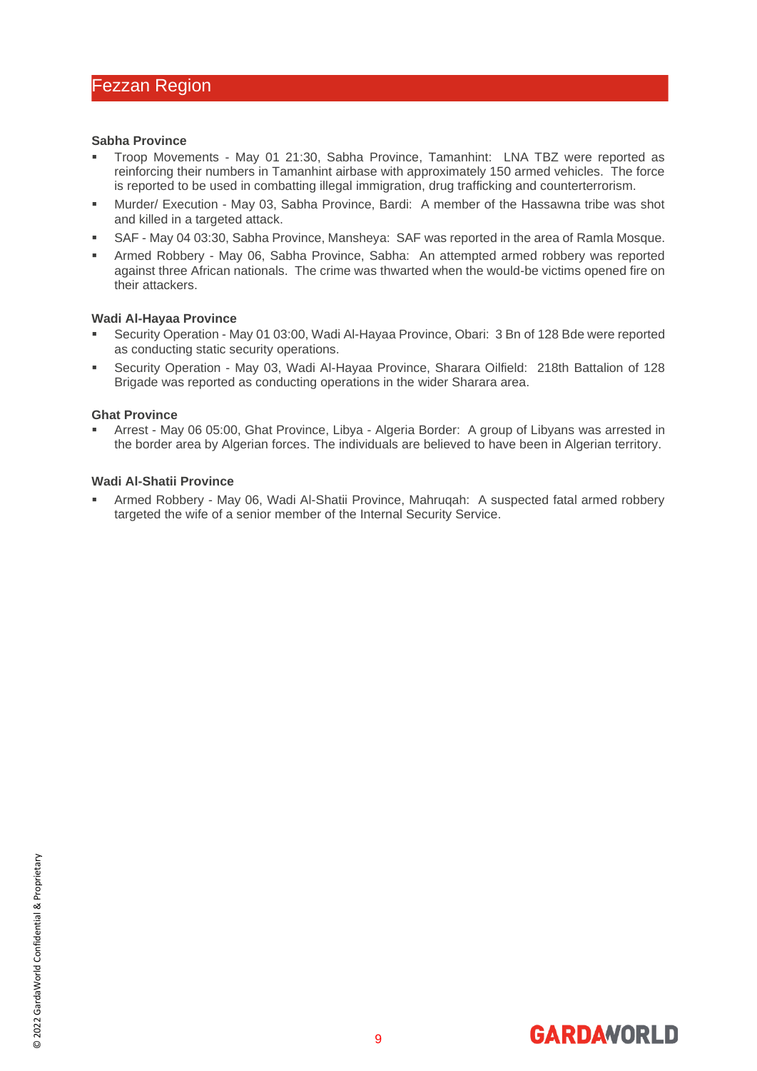#### <span id="page-8-0"></span>**Sabha Province**

- Troop Movements May 01 21:30, Sabha Province, Tamanhint: LNA TBZ were reported as reinforcing their numbers in Tamanhint airbase with approximately 150 armed vehicles. The force is reported to be used in combatting illegal immigration, drug trafficking and counterterrorism.
- Murder/ Execution May 03, Sabha Province, Bardi: A member of the Hassawna tribe was shot and killed in a targeted attack.
- SAF May 04 03:30, Sabha Province, Mansheya: SAF was reported in the area of Ramla Mosque.
- Armed Robbery May 06, Sabha Province, Sabha: An attempted armed robbery was reported against three African nationals. The crime was thwarted when the would-be victims opened fire on their attackers.

#### **Wadi Al-Hayaa Province**

- Security Operation May 01 03:00, Wadi Al-Hayaa Province, Obari: 3 Bn of 128 Bde were reported as conducting static security operations.
- Security Operation May 03, Wadi Al-Hayaa Province, Sharara Oilfield: 218th Battalion of 128 Brigade was reported as conducting operations in the wider Sharara area.

#### **Ghat Province**

Arrest - May 06 05:00, Ghat Province, Libya - Algeria Border: A group of Libyans was arrested in the border area by Algerian forces. The individuals are believed to have been in Algerian territory.

#### **Wadi Al-Shatii Province**

Armed Robbery - May 06, Wadi Al-Shatii Province, Mahruqah: A suspected fatal armed robbery targeted the wife of a senior member of the Internal Security Service.

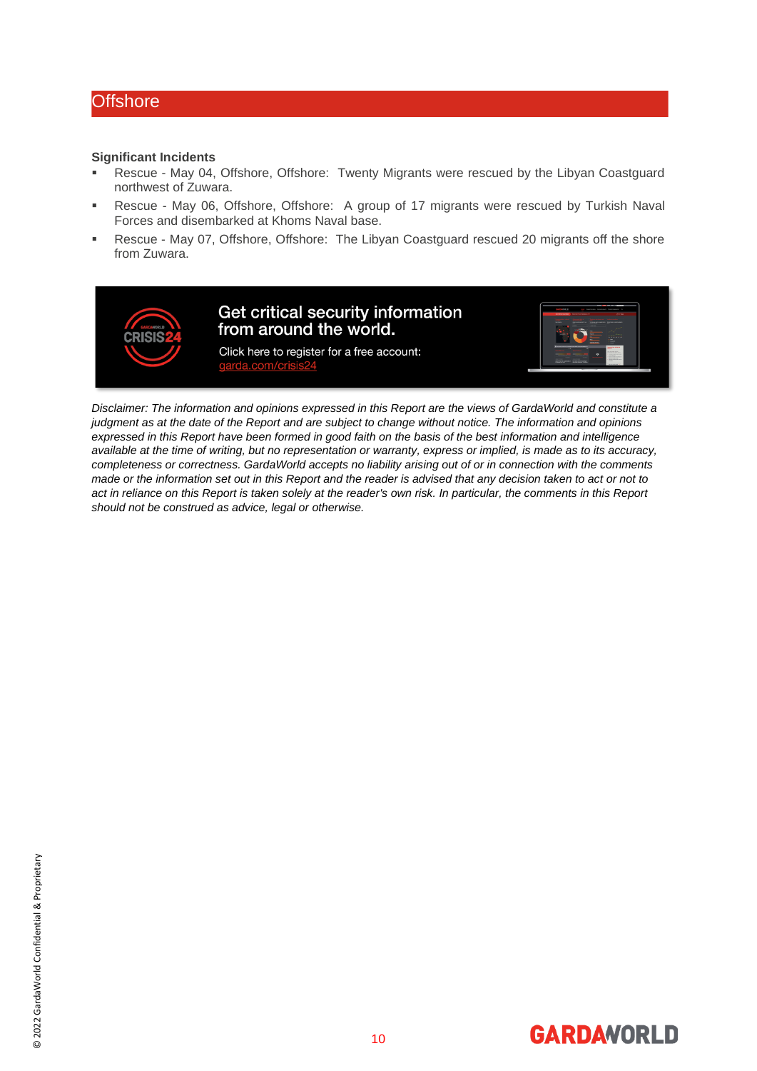#### <span id="page-9-0"></span>**Offshore**

#### **Significant Incidents**

- Rescue May 04, Offshore, Offshore: Twenty Migrants were rescued by the Libyan Coastguard northwest of Zuwara.
- Rescue May 06, Offshore, Offshore: A group of 17 migrants were rescued by Turkish Naval Forces and disembarked at Khoms Naval base.
- Rescue May 07, Offshore, Offshore: The Libyan Coastguard rescued 20 migrants off the shore from Zuwara.



*Disclaimer: The information and opinions expressed in this Report are the views of GardaWorld and constitute a judgment as at the date of the Report and are subject to change without notice. The information and opinions expressed in this Report have been formed in good faith on the basis of the best information and intelligence available at the time of writing, but no representation or warranty, express or implied, is made as to its accuracy, completeness or correctness. GardaWorld accepts no liability arising out of or in connection with the comments made or the information set out in this Report and the reader is advised that any decision taken to act or not to act in reliance on this Report is taken solely at the reader's own risk. In particular, the comments in this Report should not be construed as advice, legal or otherwise.*

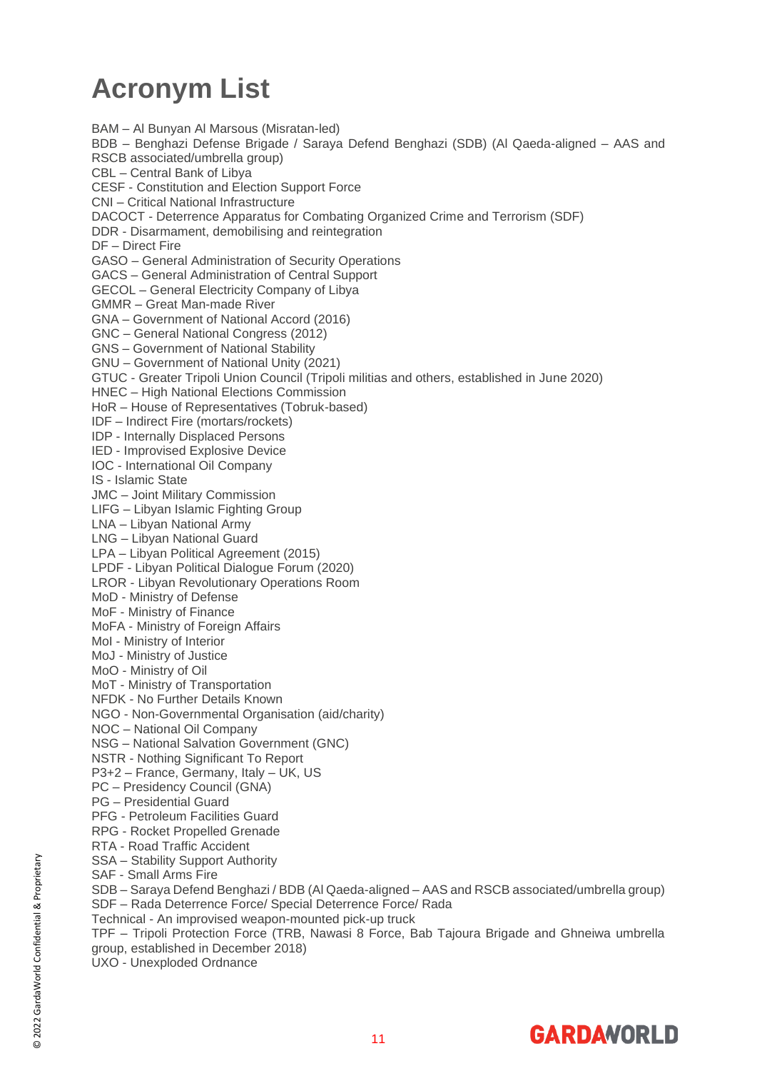### <span id="page-10-0"></span>**Acronym List**

BAM – Al Bunyan Al Marsous (Misratan-led) BDB – Benghazi Defense Brigade / Saraya Defend Benghazi (SDB) (Al Qaeda-aligned – AAS and RSCB associated/umbrella group) CBL – Central Bank of Libya CESF - Constitution and Election Support Force CNI – Critical National Infrastructure DACOCT - Deterrence Apparatus for Combating Organized Crime and Terrorism (SDF) DDR - Disarmament, demobilising and reintegration DF – Direct Fire GASO – General Administration of Security Operations GACS – General Administration of Central Support GECOL – General Electricity Company of Libya GMMR – Great Man-made River GNA – Government of National Accord (2016) GNC – General National Congress (2012) GNS – Government of National Stability GNU – Government of National Unity (2021) GTUC - Greater Tripoli Union Council (Tripoli militias and others, established in June 2020) HNEC – High National Elections Commission HoR – House of Representatives (Tobruk-based) IDF – Indirect Fire (mortars/rockets) IDP - Internally Displaced Persons IED - Improvised Explosive Device IOC - International Oil Company IS - Islamic State JMC – Joint Military Commission LIFG – Libyan Islamic Fighting Group LNA – Libyan National Army LNG – Libyan National Guard LPA – Libyan Political Agreement (2015) LPDF - Libyan Political Dialogue Forum (2020) LROR - Libyan Revolutionary Operations Room MoD - Ministry of Defense MoF - Ministry of Finance MoFA - Ministry of Foreign Affairs MoI - Ministry of Interior MoJ - Ministry of Justice MoO - Ministry of Oil MoT - Ministry of Transportation NFDK - No Further Details Known NGO - Non-Governmental Organisation (aid/charity) NOC – National Oil Company NSG – National Salvation Government (GNC) NSTR - Nothing Significant To Report P3+2 – France, Germany, Italy – UK, US PC – Presidency Council (GNA) PG – Presidential Guard PFG - Petroleum Facilities Guard RPG - Rocket Propelled Grenade RTA - Road Traffic Accident SSA – Stability Support Authority SAF - Small Arms Fire SDB – Saraya Defend Benghazi / BDB (Al Qaeda-aligned – AAS and RSCB associated/umbrella group) SDF – Rada Deterrence Force/ Special Deterrence Force/ Rada Technical - An improvised weapon-mounted pick-up truck TPF – Tripoli Protection Force (TRB, Nawasi 8 Force, Bab Tajoura Brigade and Ghneiwa umbrella group, established in December 2018) UXO - Unexploded Ordnance

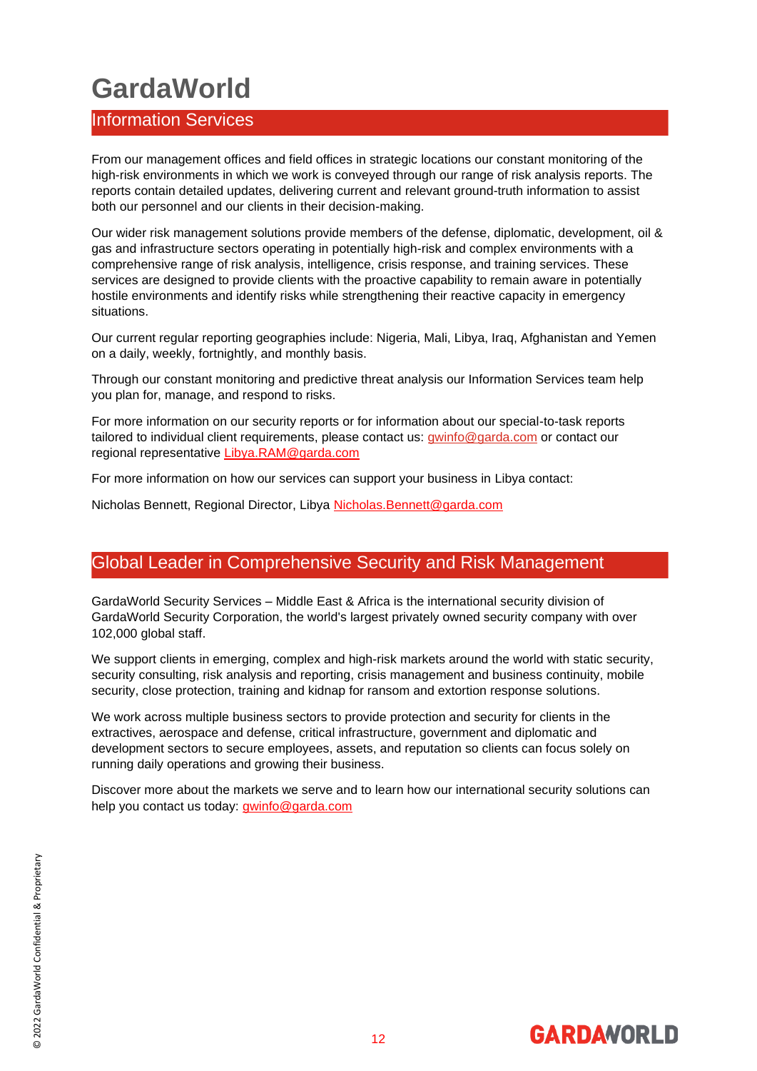### <span id="page-11-0"></span>**GardaWorld**

#### <span id="page-11-1"></span>Information Services

From our management offices and field offices in strategic locations our constant monitoring of the high-risk environments in which we work is conveyed through our range of risk analysis reports. The reports contain detailed updates, delivering current and relevant ground-truth information to assist both our personnel and our clients in their decision-making.

Our wider risk management solutions provide members of the defense, diplomatic, development, oil & gas and infrastructure sectors operating in potentially high-risk and complex environments with a comprehensive range of risk analysis, intelligence, crisis response, and training services. These services are designed to provide clients with the proactive capability to remain aware in potentially hostile environments and identify risks while strengthening their reactive capacity in emergency situations.

Our current regular reporting geographies include: Nigeria, Mali, Libya, Iraq, Afghanistan and Yemen on a daily, weekly, fortnightly, and monthly basis.

Through our constant monitoring and predictive threat analysis our Information Services team help you plan for, manage, and respond to risks.

For more information on our security reports or for information about our special-to-task reports tailored to individual client requirements, please contact us: *gwinfo@garda.com* or contact our regional representative [Libya.RAM@garda.com](mailto:Libya.RAM@garda.com)

For more information on how our services can support your business in Libya contact:

Nicholas Bennett, Regional Director, Libya [Nicholas.Bennett@garda.com](mailto:Nicholas.Bennett@garda.com)

#### <span id="page-11-2"></span>Global Leader in Comprehensive Security and Risk Management

GardaWorld Security Services – Middle East & Africa is the international security division of GardaWorld Security Corporation, the world's largest privately owned security company with over 102,000 global staff.

We support clients in emerging, complex and high-risk markets around the world with static security, security consulting, risk analysis and reporting, crisis management and business continuity, mobile security, close protection, training and kidnap for ransom and extortion response solutions.

We work across multiple business sectors to provide protection and security for clients in the extractives, aerospace and defense, critical infrastructure, government and diplomatic and development sectors to secure employees, assets, and reputation so clients can focus solely on running daily operations and growing their business.

Discover more about the markets we serve and to learn how our international security solutions can help you contact us today: [gwinfo@garda.com](mailto:gwinfo@garda.com)